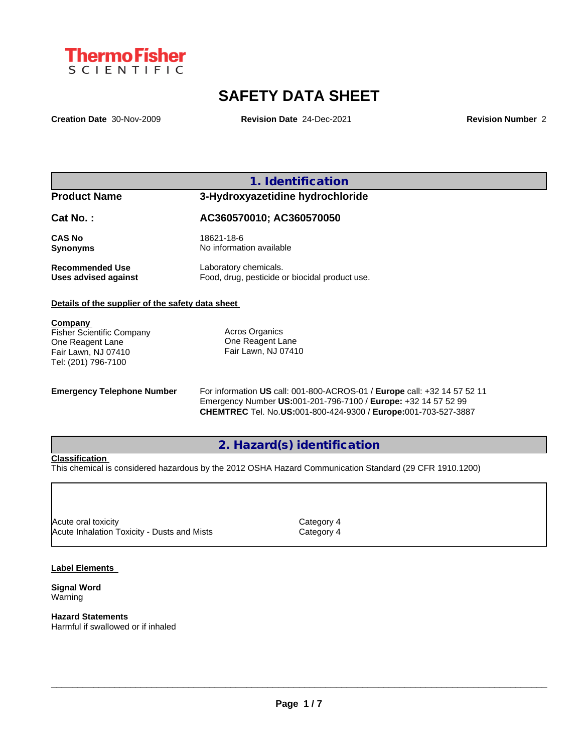

# **SAFETY DATA SHEET**

**Creation Date** 30-Nov-2009 **Revision Date** 24-Dec-2021 **Revision Number** 2

**1. Identification**

# **Product Name 3-Hydroxyazetidine hydrochloride**

**Cat No. : AC360570010; AC360570050**

**CAS No** 18621-18-6 **Synonyms** No information available

**Recommended Use** Laboratory chemicals.<br> **Uses advised against** Food, drug, pesticide of Food, drug, pesticide or biocidal product use.

## **Details of the supplier of the safety data sheet**

**Company** 

Fisher Scientific Company One Reagent Lane Fair Lawn, NJ 07410 Tel: (201) 796-7100

Acros Organics One Reagent Lane Fair Lawn, NJ 07410

**Emergency Telephone Number** For information **US** call: 001-800-ACROS-01 / **Europe** call: +32 14 57 52 11 Emergency Number **US:**001-201-796-7100 / **Europe:** +32 14 57 52 99 **CHEMTREC** Tel. No.**US:**001-800-424-9300 / **Europe:**001-703-527-3887

## **2. Hazard(s) identification**

## **Classification**

This chemical is considered hazardous by the 2012 OSHA Hazard Communication Standard (29 CFR 1910.1200)

Acute oral toxicity and the contract of the Category 4 Acute Inhalation Toxicity - Dusts and Mists **Category 4** 

## **Label Elements**

**Signal Word** Warning

**Hazard Statements** Harmful if swallowed or if inhaled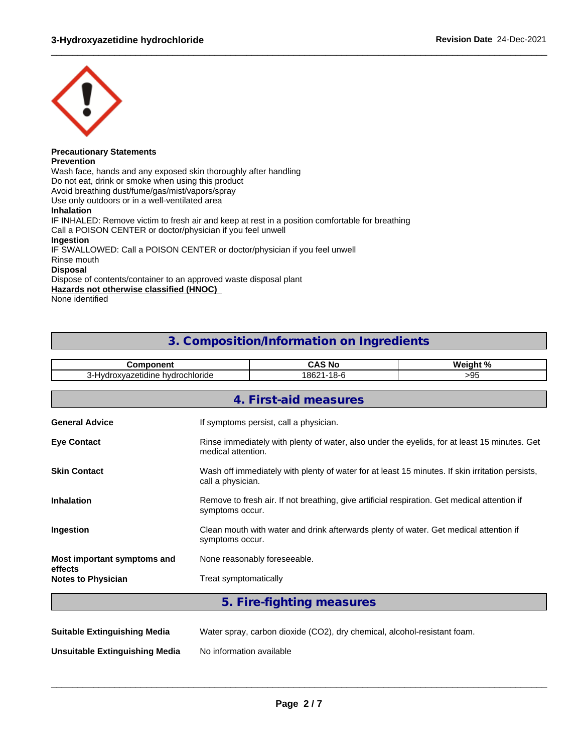

### **Precautionary Statements Prevention**

Wash face, hands and any exposed skin thoroughly after handling Do not eat, drink or smoke when using this product Avoid breathing dust/fume/gas/mist/vapors/spray Use only outdoors or in a well-ventilated area **Inhalation** IF INHALED: Remove victim to fresh air and keep at rest in a position comfortable for breathing Call a POISON CENTER or doctor/physician if you feel unwell **Ingestion** IF SWALLOWED: Call a POISON CENTER or doctor/physician if you feel unwell Rinse mouth **Disposal** Dispose of contents/container to an approved waste disposal plant

**Hazards not otherwise classified (HNOC)**

None identified

## **3. Composition/Information on Ingredients**

 $\_$  ,  $\_$  ,  $\_$  ,  $\_$  ,  $\_$  ,  $\_$  ,  $\_$  ,  $\_$  ,  $\_$  ,  $\_$  ,  $\_$  ,  $\_$  ,  $\_$  ,  $\_$  ,  $\_$  ,  $\_$  ,  $\_$  ,  $\_$  ,  $\_$  ,  $\_$  ,  $\_$  ,  $\_$  ,  $\_$  ,  $\_$  ,  $\_$  ,  $\_$  ,  $\_$  ,  $\_$  ,  $\_$  ,  $\_$  ,  $\_$  ,  $\_$  ,  $\_$  ,  $\_$  ,  $\_$  ,  $\_$  ,  $\_$  ,

| 3-Hydroxyazetidine hydrochloride<br>18621-18-6<br>>95<br>4. First-aid measures<br>If symptoms persist, call a physician.<br>medical attention.<br>call a physician.<br>Remove to fresh air. If not breathing, give artificial respiration. Get medical attention if<br>symptoms occur.<br>Clean mouth with water and drink afterwards plenty of water. Get medical attention if<br>symptoms occur.<br>None reasonably foreseeable. | <b>Component</b>                       |                       | <b>CAS No</b>                                                                                   | Weight % |  |  |  |  |
|------------------------------------------------------------------------------------------------------------------------------------------------------------------------------------------------------------------------------------------------------------------------------------------------------------------------------------------------------------------------------------------------------------------------------------|----------------------------------------|-----------------------|-------------------------------------------------------------------------------------------------|----------|--|--|--|--|
|                                                                                                                                                                                                                                                                                                                                                                                                                                    |                                        |                       |                                                                                                 |          |  |  |  |  |
|                                                                                                                                                                                                                                                                                                                                                                                                                                    |                                        |                       |                                                                                                 |          |  |  |  |  |
|                                                                                                                                                                                                                                                                                                                                                                                                                                    |                                        |                       |                                                                                                 |          |  |  |  |  |
|                                                                                                                                                                                                                                                                                                                                                                                                                                    | <b>General Advice</b>                  |                       |                                                                                                 |          |  |  |  |  |
|                                                                                                                                                                                                                                                                                                                                                                                                                                    | <b>Eye Contact</b>                     |                       | Rinse immediately with plenty of water, also under the eyelids, for at least 15 minutes. Get    |          |  |  |  |  |
|                                                                                                                                                                                                                                                                                                                                                                                                                                    | <b>Skin Contact</b>                    |                       | Wash off immediately with plenty of water for at least 15 minutes. If skin irritation persists, |          |  |  |  |  |
|                                                                                                                                                                                                                                                                                                                                                                                                                                    | <b>Inhalation</b>                      |                       |                                                                                                 |          |  |  |  |  |
|                                                                                                                                                                                                                                                                                                                                                                                                                                    | Ingestion                              |                       |                                                                                                 |          |  |  |  |  |
|                                                                                                                                                                                                                                                                                                                                                                                                                                    | Most important symptoms and<br>effects |                       |                                                                                                 |          |  |  |  |  |
|                                                                                                                                                                                                                                                                                                                                                                                                                                    | <b>Notes to Physician</b>              | Treat symptomatically |                                                                                                 |          |  |  |  |  |

**Suitable Extinguishing Media** Water spray, carbon dioxide (CO2), dry chemical, alcohol-resistant foam.

**Unsuitable Extinguishing Media** No information available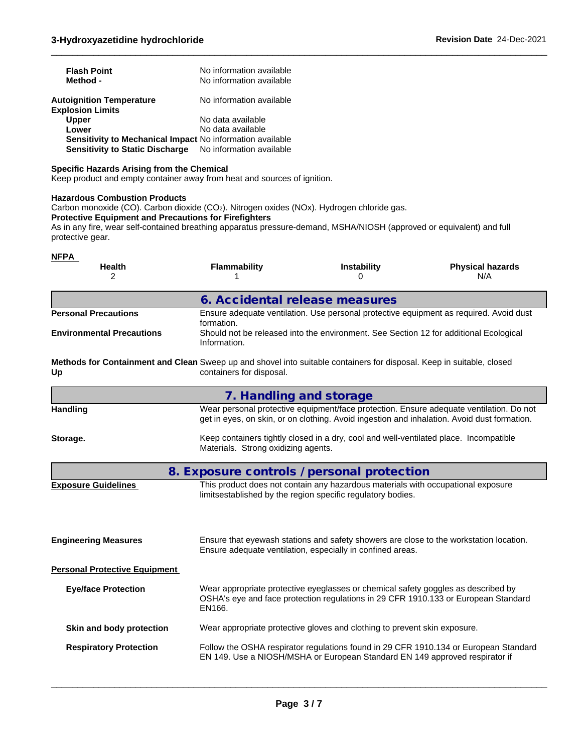| <b>Flash Point</b><br>Method -                                                                                                                                                                                                                                                                                                                 | No information available<br>No information available                                                                                                                                   |                                                                                                                                                 |                                                                                        |  |  |  |  |
|------------------------------------------------------------------------------------------------------------------------------------------------------------------------------------------------------------------------------------------------------------------------------------------------------------------------------------------------|----------------------------------------------------------------------------------------------------------------------------------------------------------------------------------------|-------------------------------------------------------------------------------------------------------------------------------------------------|----------------------------------------------------------------------------------------|--|--|--|--|
| <b>Autoignition Temperature</b><br><b>Explosion Limits</b>                                                                                                                                                                                                                                                                                     | No information available                                                                                                                                                               |                                                                                                                                                 |                                                                                        |  |  |  |  |
| <b>Upper</b>                                                                                                                                                                                                                                                                                                                                   | No data available                                                                                                                                                                      |                                                                                                                                                 |                                                                                        |  |  |  |  |
| Lower                                                                                                                                                                                                                                                                                                                                          | No data available                                                                                                                                                                      |                                                                                                                                                 |                                                                                        |  |  |  |  |
| Sensitivity to Mechanical Impact No information available<br><b>Sensitivity to Static Discharge</b>                                                                                                                                                                                                                                            | No information available                                                                                                                                                               |                                                                                                                                                 |                                                                                        |  |  |  |  |
| <b>Specific Hazards Arising from the Chemical</b><br>Keep product and empty container away from heat and sources of ignition.                                                                                                                                                                                                                  |                                                                                                                                                                                        |                                                                                                                                                 |                                                                                        |  |  |  |  |
| <b>Hazardous Combustion Products</b><br>Carbon monoxide (CO). Carbon dioxide (CO2). Nitrogen oxides (NOx). Hydrogen chloride gas.<br><b>Protective Equipment and Precautions for Firefighters</b><br>As in any fire, wear self-contained breathing apparatus pressure-demand, MSHA/NIOSH (approved or equivalent) and full<br>protective gear. |                                                                                                                                                                                        |                                                                                                                                                 |                                                                                        |  |  |  |  |
| <b>NFPA</b><br><b>Health</b><br>2                                                                                                                                                                                                                                                                                                              | <b>Flammability</b>                                                                                                                                                                    | <b>Instability</b><br>0                                                                                                                         | <b>Physical hazards</b><br>N/A                                                         |  |  |  |  |
|                                                                                                                                                                                                                                                                                                                                                | 6. Accidental release measures                                                                                                                                                         |                                                                                                                                                 |                                                                                        |  |  |  |  |
| <b>Personal Precautions</b>                                                                                                                                                                                                                                                                                                                    | Ensure adequate ventilation. Use personal protective equipment as required. Avoid dust<br>formation.                                                                                   |                                                                                                                                                 |                                                                                        |  |  |  |  |
| <b>Environmental Precautions</b>                                                                                                                                                                                                                                                                                                               | Information.                                                                                                                                                                           | Should not be released into the environment. See Section 12 for additional Ecological                                                           |                                                                                        |  |  |  |  |
| Methods for Containment and Clean Sweep up and shovel into suitable containers for disposal. Keep in suitable, closed<br>Up                                                                                                                                                                                                                    | containers for disposal.                                                                                                                                                               |                                                                                                                                                 |                                                                                        |  |  |  |  |
|                                                                                                                                                                                                                                                                                                                                                | 7. Handling and storage                                                                                                                                                                |                                                                                                                                                 |                                                                                        |  |  |  |  |
| <b>Handling</b>                                                                                                                                                                                                                                                                                                                                | Wear personal protective equipment/face protection. Ensure adequate ventilation. Do not<br>get in eyes, on skin, or on clothing. Avoid ingestion and inhalation. Avoid dust formation. |                                                                                                                                                 |                                                                                        |  |  |  |  |
| Storage.                                                                                                                                                                                                                                                                                                                                       | Materials. Strong oxidizing agents.                                                                                                                                                    | Keep containers tightly closed in a dry, cool and well-ventilated place. Incompatible                                                           |                                                                                        |  |  |  |  |
|                                                                                                                                                                                                                                                                                                                                                | 8. Exposure controls / personal protection                                                                                                                                             |                                                                                                                                                 |                                                                                        |  |  |  |  |
| <b>Exposure Guidelines</b>                                                                                                                                                                                                                                                                                                                     |                                                                                                                                                                                        | This product does not contain any hazardous materials with occupational exposure<br>limitsestablished by the region specific regulatory bodies. |                                                                                        |  |  |  |  |
| <b>Engineering Measures</b>                                                                                                                                                                                                                                                                                                                    |                                                                                                                                                                                        | Ensure adequate ventilation, especially in confined areas.                                                                                      | Ensure that eyewash stations and safety showers are close to the workstation location. |  |  |  |  |
| <b>Personal Protective Equipment</b>                                                                                                                                                                                                                                                                                                           |                                                                                                                                                                                        |                                                                                                                                                 |                                                                                        |  |  |  |  |
| <b>Eye/face Protection</b>                                                                                                                                                                                                                                                                                                                     | EN166.                                                                                                                                                                                 | Wear appropriate protective eyeglasses or chemical safety goggles as described by                                                               | OSHA's eye and face protection regulations in 29 CFR 1910.133 or European Standard     |  |  |  |  |
| Skin and body protection                                                                                                                                                                                                                                                                                                                       |                                                                                                                                                                                        | Wear appropriate protective gloves and clothing to prevent skin exposure.                                                                       |                                                                                        |  |  |  |  |
| <b>Respiratory Protection</b>                                                                                                                                                                                                                                                                                                                  |                                                                                                                                                                                        | EN 149. Use a NIOSH/MSHA or European Standard EN 149 approved respirator if                                                                     | Follow the OSHA respirator regulations found in 29 CFR 1910.134 or European Standard   |  |  |  |  |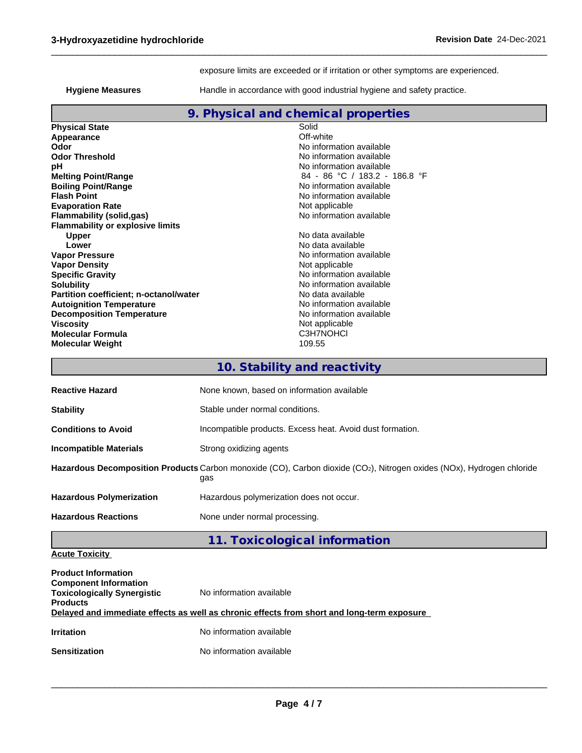exposure limits are exceeded or if irritation or other symptoms are experienced.

 $\_$  ,  $\_$  ,  $\_$  ,  $\_$  ,  $\_$  ,  $\_$  ,  $\_$  ,  $\_$  ,  $\_$  ,  $\_$  ,  $\_$  ,  $\_$  ,  $\_$  ,  $\_$  ,  $\_$  ,  $\_$  ,  $\_$  ,  $\_$  ,  $\_$  ,  $\_$  ,  $\_$  ,  $\_$  ,  $\_$  ,  $\_$  ,  $\_$  ,  $\_$  ,  $\_$  ,  $\_$  ,  $\_$  ,  $\_$  ,  $\_$  ,  $\_$  ,  $\_$  ,  $\_$  ,  $\_$  ,  $\_$  ,  $\_$  ,

**Hygiene Measures**

Handle in accordance with good industrial hygiene and safety practice.

|                                         | 9. Physical and chemical properties |
|-----------------------------------------|-------------------------------------|
| <b>Physical State</b>                   | Solid                               |
| Appearance                              | Off-white                           |
| Odor                                    | No information available            |
| <b>Odor Threshold</b>                   | No information available            |
| рH                                      | No information available            |
| <b>Melting Point/Range</b>              | 84 - 86 °C / 183.2 - 186.8 °F       |
| <b>Boiling Point/Range</b>              | No information available            |
| <b>Flash Point</b>                      | No information available            |
| <b>Evaporation Rate</b>                 | Not applicable                      |
| <b>Flammability (solid,gas)</b>         | No information available            |
| <b>Flammability or explosive limits</b> |                                     |
| <b>Upper</b>                            | No data available                   |
| Lower                                   | No data available                   |
| <b>Vapor Pressure</b>                   | No information available            |
| <b>Vapor Density</b>                    | Not applicable                      |
| <b>Specific Gravity</b>                 | No information available            |
| <b>Solubility</b>                       | No information available            |
| Partition coefficient; n-octanol/water  | No data available                   |
| <b>Autoignition Temperature</b>         | No information available            |
| <b>Decomposition Temperature</b>        | No information available            |
| <b>Viscosity</b>                        | Not applicable                      |
| <b>Molecular Formula</b>                | C3H7NOHCI                           |
| <b>Molecular Weight</b>                 | 109.55                              |
|                                         | 10. Stability and reactivity        |

| <b>Reactive Hazard</b>          | None known, based on information available                                                                                                |
|---------------------------------|-------------------------------------------------------------------------------------------------------------------------------------------|
| <b>Stability</b>                | Stable under normal conditions.                                                                                                           |
| <b>Conditions to Avoid</b>      | Incompatible products. Excess heat. Avoid dust formation.                                                                                 |
| <b>Incompatible Materials</b>   | Strong oxidizing agents                                                                                                                   |
|                                 | Hazardous Decomposition Products Carbon monoxide (CO), Carbon dioxide (CO <sub>2</sub> ), Nitrogen oxides (NOx), Hydrogen chloride<br>gas |
| <b>Hazardous Polymerization</b> | Hazardous polymerization does not occur.                                                                                                  |
| <b>Hazardous Reactions</b>      | None under normal processing.                                                                                                             |
|                                 |                                                                                                                                           |

**11. Toxicological information**

**Acute Toxicity**

| <b>Product Information</b><br><b>Component Information</b><br><b>Toxicologically Synergistic</b><br><b>Products</b> | No information available                                                                   |
|---------------------------------------------------------------------------------------------------------------------|--------------------------------------------------------------------------------------------|
|                                                                                                                     | Delayed and immediate effects as well as chronic effects from short and long-term exposure |
| <b>Irritation</b>                                                                                                   | No information available                                                                   |
| <b>Sensitization</b>                                                                                                | No information available                                                                   |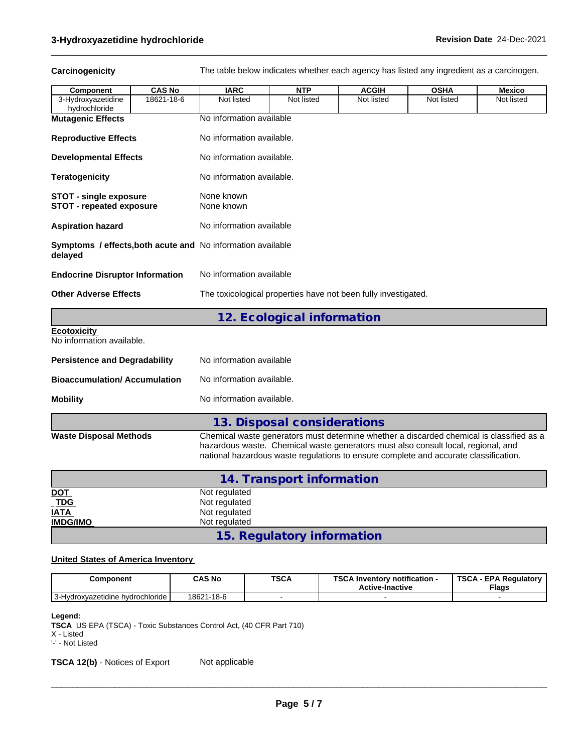Carcinogenicity The table below indicates whether each agency has listed any ingredient as a carcinogen.

 $\_$  ,  $\_$  ,  $\_$  ,  $\_$  ,  $\_$  ,  $\_$  ,  $\_$  ,  $\_$  ,  $\_$  ,  $\_$  ,  $\_$  ,  $\_$  ,  $\_$  ,  $\_$  ,  $\_$  ,  $\_$  ,  $\_$  ,  $\_$  ,  $\_$  ,  $\_$  ,  $\_$  ,  $\_$  ,  $\_$  ,  $\_$  ,  $\_$  ,  $\_$  ,  $\_$  ,  $\_$  ,  $\_$  ,  $\_$  ,  $\_$  ,  $\_$  ,  $\_$  ,  $\_$  ,  $\_$  ,  $\_$  ,  $\_$  ,

| Component                                                              | <b>CAS No</b> | <b>IARC</b>                    | <b>NTP</b>                                                                                                                                                                                                                                                            | <b>ACGIH</b> | <b>OSHA</b> | <b>Mexico</b> |
|------------------------------------------------------------------------|---------------|--------------------------------|-----------------------------------------------------------------------------------------------------------------------------------------------------------------------------------------------------------------------------------------------------------------------|--------------|-------------|---------------|
| 3-Hydroxyazetidine<br>hydrochloride                                    | 18621-18-6    | Not listed                     | Not listed                                                                                                                                                                                                                                                            | Not listed   | Not listed  | Not listed    |
| <b>Mutagenic Effects</b>                                               |               | No information available       |                                                                                                                                                                                                                                                                       |              |             |               |
| <b>Reproductive Effects</b>                                            |               | No information available.      |                                                                                                                                                                                                                                                                       |              |             |               |
| <b>Developmental Effects</b>                                           |               | No information available.      |                                                                                                                                                                                                                                                                       |              |             |               |
| <b>Teratogenicity</b>                                                  |               | No information available.      |                                                                                                                                                                                                                                                                       |              |             |               |
| <b>STOT - single exposure</b><br>STOT - repeated exposure              |               | None known<br>None known       |                                                                                                                                                                                                                                                                       |              |             |               |
| <b>Aspiration hazard</b>                                               |               | No information available       |                                                                                                                                                                                                                                                                       |              |             |               |
| Symptoms / effects, both acute and No information available<br>delayed |               |                                |                                                                                                                                                                                                                                                                       |              |             |               |
| <b>Endocrine Disruptor Information</b>                                 |               | No information available       |                                                                                                                                                                                                                                                                       |              |             |               |
| <b>Other Adverse Effects</b>                                           |               |                                | The toxicological properties have not been fully investigated.                                                                                                                                                                                                        |              |             |               |
|                                                                        |               |                                | 12. Ecological information                                                                                                                                                                                                                                            |              |             |               |
| <b>Ecotoxicity</b><br>No information available.                        |               |                                |                                                                                                                                                                                                                                                                       |              |             |               |
| <b>Persistence and Degradability</b>                                   |               | No information available       |                                                                                                                                                                                                                                                                       |              |             |               |
| <b>Bioaccumulation/Accumulation</b>                                    |               | No information available.      |                                                                                                                                                                                                                                                                       |              |             |               |
| <b>Mobility</b>                                                        |               | No information available.      |                                                                                                                                                                                                                                                                       |              |             |               |
|                                                                        |               |                                | 13. Disposal considerations                                                                                                                                                                                                                                           |              |             |               |
| <b>Waste Disposal Methods</b>                                          |               |                                | Chemical waste generators must determine whether a discarded chemical is classified as a<br>hazardous waste. Chemical waste generators must also consult local, regional, and<br>national hazardous waste regulations to ensure complete and accurate classification. |              |             |               |
|                                                                        |               |                                | 14. Transport information                                                                                                                                                                                                                                             |              |             |               |
| <b>DOT</b>                                                             |               | Not regulated                  |                                                                                                                                                                                                                                                                       |              |             |               |
| <b>TDG</b><br>IATA                                                     |               | Not regulated<br>Not regulated |                                                                                                                                                                                                                                                                       |              |             |               |
| <b>IMDG/IMO</b>                                                        |               | Not regulated                  |                                                                                                                                                                                                                                                                       |              |             |               |

## **United States of America Inventory**

| Component                            | <b>CAS No</b> | <b>TSCA</b> | TOO AL<br>\ Inventorv notification -<br>ov.<br><b>Active-Inactive</b> | <b>TSCA</b><br>. - EPA Requlatorv '<br><b>Flags</b> |
|--------------------------------------|---------------|-------------|-----------------------------------------------------------------------|-----------------------------------------------------|
| -Hydroxyazetidine hydrochloride<br>v | 18621-18-6    |             |                                                                       |                                                     |

**15. Regulatory information**

## **Legend:**

**TSCA** US EPA (TSCA) - Toxic Substances Control Act, (40 CFR Part 710)

X - Listed

'-' - Not Listed

**TSCA 12(b)** - Notices of Export Not applicable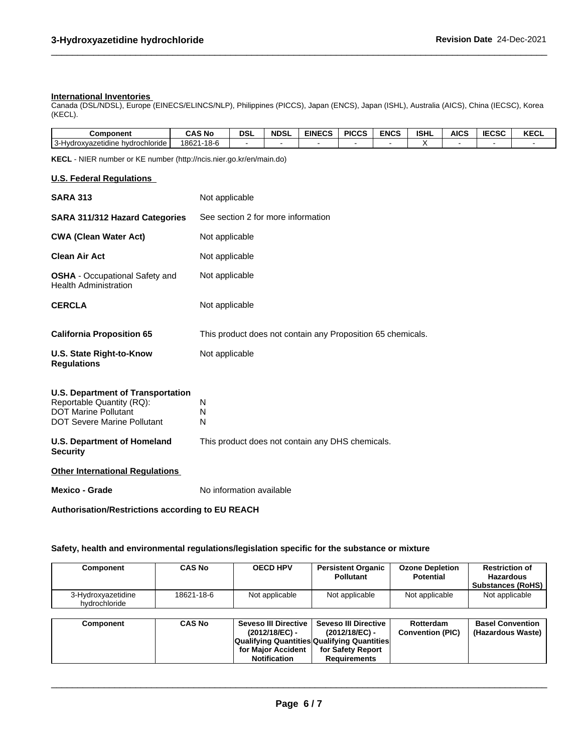### **International Inventories**

Canada (DSL/NDSL), Europe (EINECS/ELINCS/NLP), Philippines (PICCS), Japan (ENCS), Japan (ISHL), Australia (AICS), China (IECSC), Korea (KECL).

| <b>Component</b>                                            | <b>CAS No</b>   | DSI | <b>NDSL</b> | <b>EINECS</b><br>-65 | <b>PICCS</b> | ENCS | <b>ISHL</b> | <b>AICS</b> | <b>IECSC</b> | <b>KECL</b> |
|-------------------------------------------------------------|-----------------|-----|-------------|----------------------|--------------|------|-------------|-------------|--------------|-------------|
| $\sim$<br>hydrochloride<br>iroxvazetidine<br>---<br>$\cdot$ | 21-18-6<br>1862 |     |             |                      |              |      |             |             |              |             |

 $\_$  ,  $\_$  ,  $\_$  ,  $\_$  ,  $\_$  ,  $\_$  ,  $\_$  ,  $\_$  ,  $\_$  ,  $\_$  ,  $\_$  ,  $\_$  ,  $\_$  ,  $\_$  ,  $\_$  ,  $\_$  ,  $\_$  ,  $\_$  ,  $\_$  ,  $\_$  ,  $\_$  ,  $\_$  ,  $\_$  ,  $\_$  ,  $\_$  ,  $\_$  ,  $\_$  ,  $\_$  ,  $\_$  ,  $\_$  ,  $\_$  ,  $\_$  ,  $\_$  ,  $\_$  ,  $\_$  ,  $\_$  ,  $\_$  ,

**KECL** - NIER number or KE number (http://ncis.nier.go.kr/en/main.do)

## **U.S. Federal Regulations**

| <b>SARA 313</b>                                                                                                                     | Not applicable                                              |
|-------------------------------------------------------------------------------------------------------------------------------------|-------------------------------------------------------------|
| <b>SARA 311/312 Hazard Categories</b>                                                                                               | See section 2 for more information                          |
| <b>CWA (Clean Water Act)</b>                                                                                                        | Not applicable                                              |
| <b>Clean Air Act</b>                                                                                                                | Not applicable                                              |
| <b>OSHA</b> - Occupational Safety and<br><b>Health Administration</b>                                                               | Not applicable                                              |
| <b>CERCLA</b>                                                                                                                       | Not applicable                                              |
| <b>California Proposition 65</b>                                                                                                    | This product does not contain any Proposition 65 chemicals. |
| U.S. State Right-to-Know<br><b>Regulations</b>                                                                                      | Not applicable                                              |
| U.S. Department of Transportation<br>Reportable Quantity (RQ):<br><b>DOT Marine Pollutant</b><br><b>DOT Severe Marine Pollutant</b> | N<br>N<br>N                                                 |
| U.S. Department of Homeland<br><b>Security</b>                                                                                      | This product does not contain any DHS chemicals.            |

**Other International Regulations**

**Mexico - Grade** No information available

**Authorisation/Restrictions according to EU REACH**

## **Safety, health and environmental regulations/legislation specific for the substance or mixture**

| Component                           | <b>CAS No</b> | <b>OECD HPV</b>                                    | <b>Persistent Organic</b><br><b>Pollutant</b> | <b>Ozone Depletion</b><br><b>Potential</b> | <b>Restriction of</b><br><b>Hazardous</b><br><b>Substances (RoHS)</b> |
|-------------------------------------|---------------|----------------------------------------------------|-----------------------------------------------|--------------------------------------------|-----------------------------------------------------------------------|
| 3-Hydroxyazetidine<br>hydrochloride | 18621-18-6    | Not applicable                                     | Not applicable                                | Not applicable                             | Not applicable                                                        |
| Component                           | <b>CAS No</b> | Seveso III Directive I                             | <b>Seveso III Directive</b>                   | Rotterdam                                  | <b>Basel Convention</b>                                               |
|                                     |               | (2012/18/EC) -                                     | (2012/18/EC) -                                | <b>Convention (PIC)</b>                    | (Hazardous Waste)                                                     |
|                                     |               | <b>Qualifying Quantities Qualifying Quantities</b> |                                               |                                            |                                                                       |
|                                     |               | for Major Accident                                 | for Safety Report                             |                                            |                                                                       |
|                                     |               | <b>Notification</b>                                | <b>Requirements</b>                           |                                            |                                                                       |